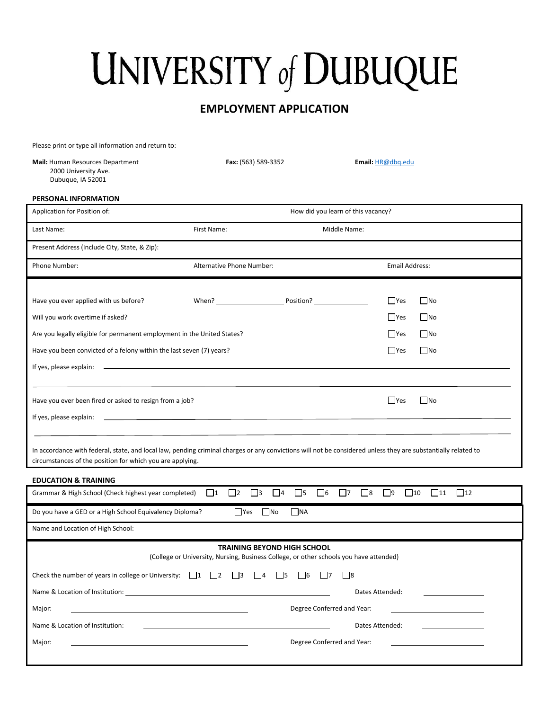# **UNIVERSITY of DUBUQUE**

## **EMPLOYMENT APPLICATION**

Please print or type all information and return to:

| Mail: Human Resources Department<br>2000 University Ave.<br>Dubuque, IA 52001                                                                                                                                              | Fax: (563) 589-3352                              |                                     | Email: HR@dbq.edu                 |                        |
|----------------------------------------------------------------------------------------------------------------------------------------------------------------------------------------------------------------------------|--------------------------------------------------|-------------------------------------|-----------------------------------|------------------------|
| PERSONAL INFORMATION                                                                                                                                                                                                       |                                                  |                                     |                                   |                        |
| Application for Position of:                                                                                                                                                                                               |                                                  | How did you learn of this vacancy?  |                                   |                        |
| Last Name:                                                                                                                                                                                                                 | First Name:                                      | Middle Name:                        |                                   |                        |
| Present Address (Include City, State, & Zip):                                                                                                                                                                              |                                                  |                                     |                                   |                        |
| Phone Number:                                                                                                                                                                                                              | Alternative Phone Number:                        |                                     | <b>Email Address:</b>             |                        |
|                                                                                                                                                                                                                            |                                                  |                                     |                                   |                        |
| Have you ever applied with us before?                                                                                                                                                                                      | When? Position?                                  |                                     | $\Box$ Yes                        | $\Box$ No              |
| Will you work overtime if asked?                                                                                                                                                                                           |                                                  |                                     | $\Box$ Yes                        | $\blacksquare$ No      |
| Are you legally eligible for permanent employment in the United States?                                                                                                                                                    |                                                  |                                     | $\Box$ Yes                        | $\Box$ No              |
| Have you been convicted of a felony within the last seven (7) years?                                                                                                                                                       |                                                  |                                     | $\Box$ Yes                        | No                     |
| If yes, please explain:                                                                                                                                                                                                    |                                                  |                                     |                                   |                        |
|                                                                                                                                                                                                                            |                                                  |                                     |                                   |                        |
| Have you ever been fired or asked to resign from a job?                                                                                                                                                                    |                                                  |                                     | <b>Yes</b>                        | $\Box$ No              |
| If yes, please explain:                                                                                                                                                                                                    |                                                  |                                     |                                   |                        |
|                                                                                                                                                                                                                            |                                                  |                                     |                                   |                        |
| In accordance with federal, state, and local law, pending criminal charges or any convictions will not be considered unless they are substantially related to<br>circumstances of the position for which you are applying. |                                                  |                                     |                                   |                        |
| <b>EDUCATION &amp; TRAINING</b>                                                                                                                                                                                            |                                                  |                                     |                                   |                        |
| Grammar & High School (Check highest year completed)                                                                                                                                                                       | $\Box$ 2<br>$\Box$ 3<br>$\Box$ 4<br>$\lfloor$  1 | $\Box$ 6<br>$\Box$ 5<br>$\Box$ 7    | $\Box$ 8<br>$\Box$ 9<br>$\Box$ 10 | $\Box$ 11<br>$\Box$ 12 |
| Do you have a GED or a High School Equivalency Diploma?                                                                                                                                                                    | $\Box$ Yes<br>$\Box$ No                          | <b>NA</b>                           |                                   |                        |
| Name and Location of High School:                                                                                                                                                                                          |                                                  |                                     |                                   |                        |
| <b>TRAINING BEYOND HIGH SCHOOL</b><br>(College or University, Nursing, Business College, or other schools you have attended)                                                                                               |                                                  |                                     |                                   |                        |
| Check the number of years in college or University: $\Box$ 1 $\Box$ 2                                                                                                                                                      | $\vert$   3<br>$\vert$  4                        | $\Box$ 5<br>$\sqrt{6}$<br>$ $ $ $ 7 | $\Box$ 8                          |                        |
| Name & Location of Institution:                                                                                                                                                                                            |                                                  |                                     | Dates Attended:                   |                        |

Major: Degree Conferred and Year:

Name & Location of Institution: <u>Dates Attended:</u> Dates Attended: Dates Attended: Dates Attended: Dates Attended: Major: <u>Conferred and Year: Conferred and Year: Conferred and Year: Conferred and Year:</u>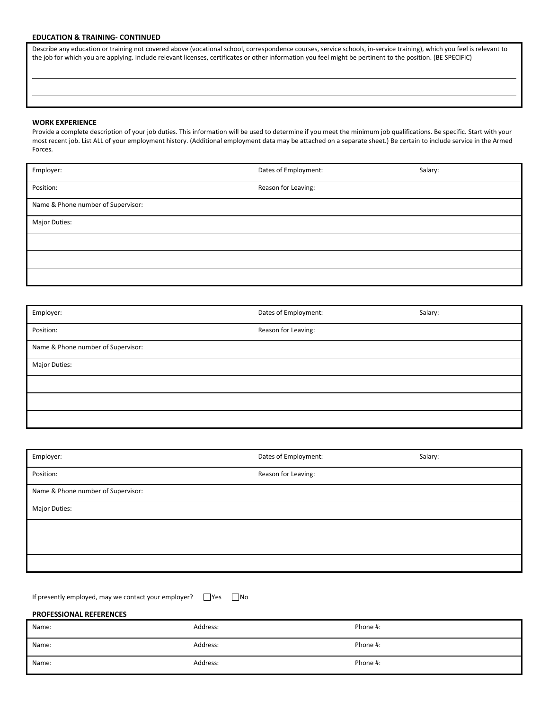#### **EDUCATION & TRAINING- CONTINUED**

Describe any education or training not covered above (vocational school, correspondence courses, service schools, in-service training), which you feel is relevant to the job for which you are applying. Include relevant licenses, certificates or other information you feel might be pertinent to the position. (BE SPECIFIC)

#### **WORK EXPERIENCE**

Provide a complete description of your job duties. This information will be used to determine if you meet the minimum job qualifications. Be specific. Start with your most recent job. List ALL of your employment history. (Additional employment data may be attached on a separate sheet.) Be certain to include service in the Armed Forces.

| Employer:                          | Dates of Employment: | Salary: |
|------------------------------------|----------------------|---------|
| Position:                          | Reason for Leaving:  |         |
| Name & Phone number of Supervisor: |                      |         |
| Major Duties:                      |                      |         |
|                                    |                      |         |
|                                    |                      |         |
|                                    |                      |         |

| Employer:                          | Dates of Employment: | Salary: |
|------------------------------------|----------------------|---------|
| Position:                          | Reason for Leaving:  |         |
| Name & Phone number of Supervisor: |                      |         |
| Major Duties:                      |                      |         |
|                                    |                      |         |
|                                    |                      |         |
|                                    |                      |         |

| Employer:                          | Dates of Employment: | Salary: |
|------------------------------------|----------------------|---------|
| Position:                          | Reason for Leaving:  |         |
| Name & Phone number of Supervisor: |                      |         |
| Major Duties:                      |                      |         |
|                                    |                      |         |
|                                    |                      |         |
|                                    |                      |         |

| If presently employed, may we contact your employer? $\Box$ Yes $\Box$ No |  |  |
|---------------------------------------------------------------------------|--|--|
|---------------------------------------------------------------------------|--|--|

### **PROFESSIONAL REFERENCES**

| Name: | Address: | Phone #: |
|-------|----------|----------|
| Name: | Address: | Phone #: |
| Name: | Address: | Phone #: |